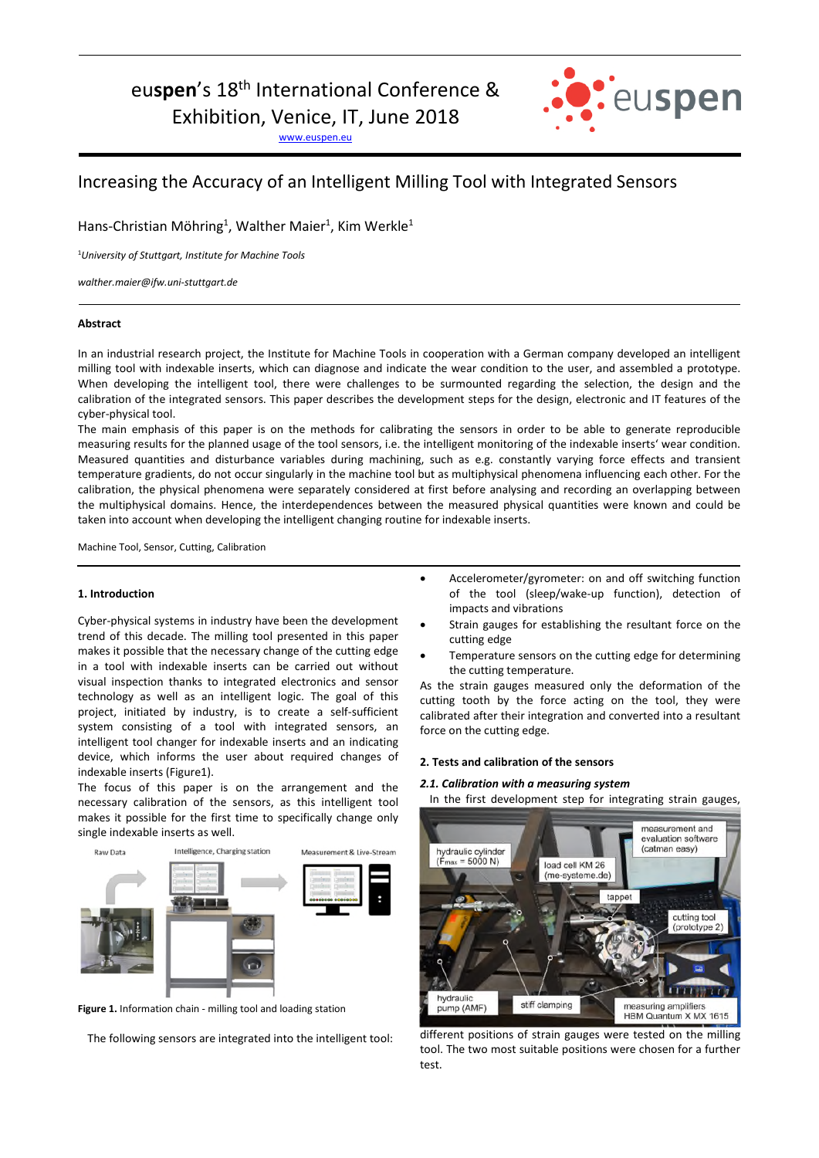# euspen's 18<sup>th</sup> International Conference &

Exhibition, Venice, IT, June 2018

www.euspen.eu



## Increasing the Accuracy of an Intelligent Milling Tool with Integrated Sensors

Hans-Christian Möhring<sup>1</sup>, Walther Maier<sup>1</sup>, Kim Werkle<sup>1</sup>

<sup>1</sup>*University of Stuttgart, Institute for Machine Tools* 

*walther.maier@ifw.uni-stuttgart.de* 

#### **Abstract**

In an industrial research project, the Institute for Machine Tools in cooperation with a German company developed an intelligent milling tool with indexable inserts, which can diagnose and indicate the wear condition to the user, and assembled a prototype. When developing the intelligent tool, there were challenges to be surmounted regarding the selection, the design and the calibration of the integrated sensors. This paper describes the development steps for the design, electronic and IT features of the cyber-physical tool.

The main emphasis of this paper is on the methods for calibrating the sensors in order to be able to generate reproducible measuring results for the planned usage of the tool sensors, i.e. the intelligent monitoring of the indexable inserts' wear condition. Measured quantities and disturbance variables during machining, such as e.g. constantly varying force effects and transient temperature gradients, do not occur singularly in the machine tool but as multiphysical phenomena influencing each other. For the calibration, the physical phenomena were separately considered at first before analysing and recording an overlapping between the multiphysical domains. Hence, the interdependences between the measured physical quantities were known and could be taken into account when developing the intelligent changing routine for indexable inserts.

Machine Tool, Sensor, Cutting, Calibration

#### **1. Introduction**

Cyber-physical systems in industry have been the development trend of this decade. The milling tool presented in this paper makes it possible that the necessary change of the cutting edge in a tool with indexable inserts can be carried out without visual inspection thanks to integrated electronics and sensor technology as well as an intelligent logic. The goal of this project, initiated by industry, is to create a self-sufficient system consisting of a tool with integrated sensors, an intelligent tool changer for indexable inserts and an indicating device, which informs the user about required changes of indexable inserts (Figure1).

The focus of this paper is on the arrangement and the necessary calibration of the sensors, as this intelligent tool makes it possible for the first time to specifically change only single indexable inserts as well.



**Figure 1.** Information chain - milling tool and loading station

The following sensors are integrated into the intelligent tool:

- Accelerometer/gyrometer: on and off switching function of the tool (sleep/wake-up function), detection of impacts and vibrations
- Strain gauges for establishing the resultant force on the cutting edge
- Temperature sensors on the cutting edge for determining the cutting temperature.

As the strain gauges measured only the deformation of the cutting tooth by the force acting on the tool, they were calibrated after their integration and converted into a resultant force on the cutting edge.

#### **2. Tests and calibration of the sensors**

#### *2.1. Calibration with a measuring system*

In the first development step for integrating strain gauges,



different positions of strain gauges were tested on the milling tool. The two most suitable positions were chosen for a further test.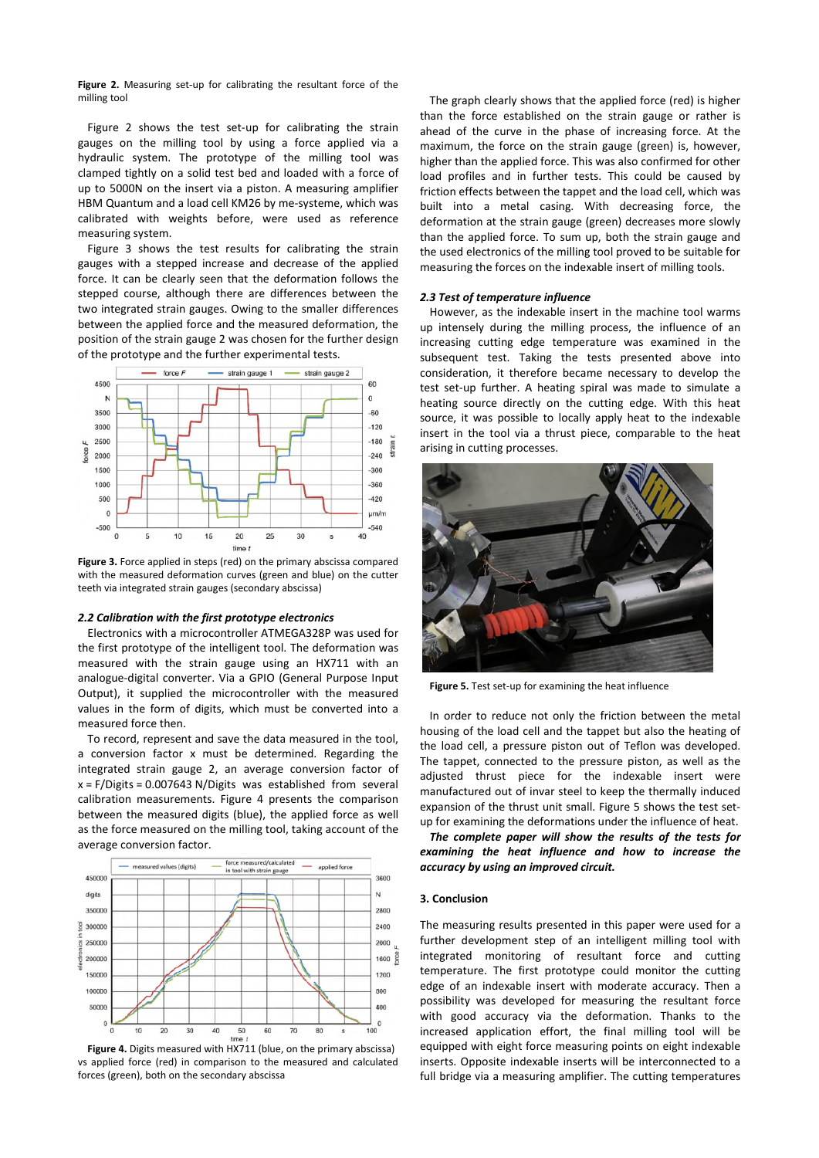**Figure 2.** Measuring set-up for calibrating the resultant force of the milling tool

Figure 2 shows the test set-up for calibrating the strain gauges on the milling tool by using a force applied via a hydraulic system. The prototype of the milling tool was clamped tightly on a solid test bed and loaded with a force of up to 5000N on the insert via a piston. A measuring amplifier HBM Quantum and a load cell KM26 by me-systeme, which was calibrated with weights before, were used as reference measuring system.

Figure 3 shows the test results for calibrating the strain gauges with a stepped increase and decrease of the applied force. It can be clearly seen that the deformation follows the stepped course, although there are differences between the two integrated strain gauges. Owing to the smaller differences between the applied force and the measured deformation, the position of the strain gauge 2 was chosen for the further design of the prototype and the further experimental tests.



**Figure 3.** Force applied in steps (red) on the primary abscissa compared with the measured deformation curves (green and blue) on the cutter teeth via integrated strain gauges (secondary abscissa)

#### *2.2 Calibration with the first prototype electronics*

Electronics with a microcontroller ATMEGA328P was used for the first prototype of the intelligent tool. The deformation was measured with the strain gauge using an HX711 with an analogue-digital converter. Via a GPIO (General Purpose Input Output), it supplied the microcontroller with the measured values in the form of digits, which must be converted into a measured force then.

To record, represent and save the data measured in the tool, a conversion factor x must be determined. Regarding the integrated strain gauge 2, an average conversion factor of  $x = F/D$  igits = 0.007643 N/Digits was established from several calibration measurements. Figure 4 presents the comparison between the measured digits (blue), the applied force as well as the force measured on the milling tool, taking account of the average conversion factor.



**Figure 4.** Digits measured with HX711 (blue, on the primary abscissa) vs applied force (red) in comparison to the measured and calculated forces (green), both on the secondary abscissa

The graph clearly shows that the applied force (red) is higher than the force established on the strain gauge or rather is ahead of the curve in the phase of increasing force. At the maximum, the force on the strain gauge (green) is, however, higher than the applied force. This was also confirmed for other load profiles and in further tests. This could be caused by friction effects between the tappet and the load cell, which was built into a metal casing. With decreasing force, the deformation at the strain gauge (green) decreases more slowly than the applied force. To sum up, both the strain gauge and the used electronics of the milling tool proved to be suitable for measuring the forces on the indexable insert of milling tools.

#### *2.3 Test of temperature influence*

However, as the indexable insert in the machine tool warms up intensely during the milling process, the influence of an increasing cutting edge temperature was examined in the subsequent test. Taking the tests presented above into consideration, it therefore became necessary to develop the test set-up further. A heating spiral was made to simulate a heating source directly on the cutting edge. With this heat source, it was possible to locally apply heat to the indexable insert in the tool via a thrust piece, comparable to the heat arising in cutting processes.



**Figure 5.** Test set-up for examining the heat influence

In order to reduce not only the friction between the metal housing of the load cell and the tappet but also the heating of the load cell, a pressure piston out of Teflon was developed. The tappet, connected to the pressure piston, as well as the adjusted thrust piece for the indexable insert were manufactured out of invar steel to keep the thermally induced expansion of the thrust unit small. Figure 5 shows the test setup for examining the deformations under the influence of heat.

*The complete paper will show the results of the tests for examining the heat influence and how to increase the accuracy by using an improved circuit.* 

#### **3. Conclusion**

The measuring results presented in this paper were used for a further development step of an intelligent milling tool with integrated monitoring of resultant force and cutting temperature. The first prototype could monitor the cutting edge of an indexable insert with moderate accuracy. Then a possibility was developed for measuring the resultant force with good accuracy via the deformation. Thanks to the increased application effort, the final milling tool will be equipped with eight force measuring points on eight indexable inserts. Opposite indexable inserts will be interconnected to a full bridge via a measuring amplifier. The cutting temperatures